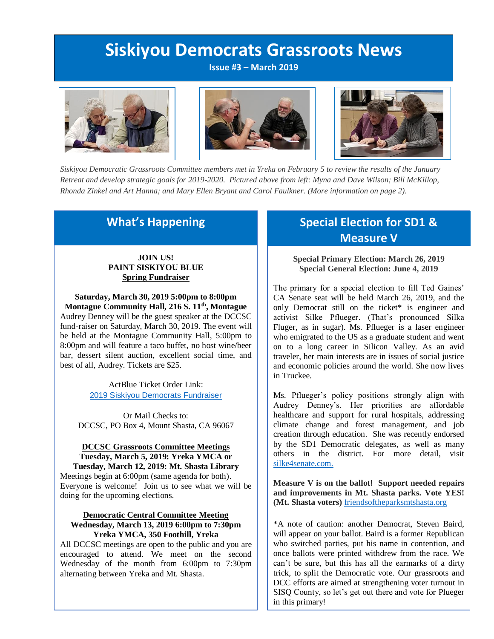# **Siskiyou Democrats Grassroots News**

**Issue #3 – March 2019**







*Siskiyou Democratic Grassroots Committee members met in Yreka on February 5 to review the results of the January Retreat and develop strategic goals for 2019-2020. Pictured above from left: Myna and Dave Wilson; Bill McKillop, Rhonda Zinkel and Art Hanna; and Mary Ellen Bryant and Carol Faulkner. (More information on page 2).*

### **What's Happening**

#### **JOIN US! PAINT SISKIYOU BLUE Spring Fundraiser**

**Saturday, March 30, 2019 5:00pm to 8:00pm Montague Community Hall, 216 S. 11th, Montague** Audrey Denney will be the guest speaker at the DCCSC fund-raiser on Saturday, March 30, 2019. The event will be held at the Montague Community Hall, 5:00pm to 8:00pm and will feature a taco buffet, no host wine/beer bar, dessert silent auction, excellent social time, and best of all, Audrey. Tickets are \$25.

> ActBlue Ticket Order Link: 2019 Siskiyou [Democrats](https://secure.actblue.com/donate/siskspr2019) Fundraiser

Or Mail Checks to: DCCSC, PO Box 4, Mount Shasta, CA 96067

#### **DCCSC Grassroots Committee Meetings Tuesday, March 5, 2019: Yreka YMCA or**

**Tuesday, March 12, 2019: Mt. Shasta Library** Meetings begin at 6:00pm (same agenda for both). Everyone is welcome! Join us to see what we will be doing for the upcoming elections.

#### **Democratic Central Committee Meeting Wednesday, March 13, 2019 6:00pm to 7:30pm Yreka YMCA, 350 Foothill, Yreka**

All DCCSC meetings are open to the public and you are encouraged to attend. We meet on the second Wednesday of the month from 6:00pm to 7:30pm alternating between Yreka and Mt. Shasta.

# **Special Election for SD1 & Measure V**

**Special Primary Election: March 26, 2019 Special General Election: June 4, 2019**

The primary for a special election to fill Ted Gaines' CA Senate seat will be held March 26, 2019, and the only Democrat still on the ticket\* is engineer and activist Silke Pflueger. (That's pronounced Silka Fluger, as in sugar). Ms. Pflueger is a laser engineer who emigrated to the US as a graduate student and went on to a long career in Silicon Valley. As an avid traveler, her main interests are in issues of social justice and economic policies around the world. She now lives in Truckee.

Ms. Pflueger's policy positions strongly align with Audrey Denney's. Her priorities are affordable healthcare and support for rural hospitals, addressing climate change and forest management, and job creation through education. She was recently endorsed by the SD1 Democratic delegates, as well as many others in the district. For more detail, visit [silke4senate.com.](http://www.silke4senate.com/)

**Measure V is on the ballot! Support needed repairs and improvements in Mt. Shasta parks. Vote YES! (Mt. Shasta voters)** [friendsoftheparksmtshasta.org](https://www.friendsoftheparksmtshasta.org/)

\*A note of caution: another Democrat, Steven Baird, will appear on your ballot. Baird is a former Republican who switched parties, put his name in contention, and once ballots were printed withdrew from the race. We can't be sure, but this has all the earmarks of a dirty trick, to split the Democratic vote. Our grassroots and DCC efforts are aimed at strengthening voter turnout in SISQ County, so let's get out there and vote for Plueger in this primary!